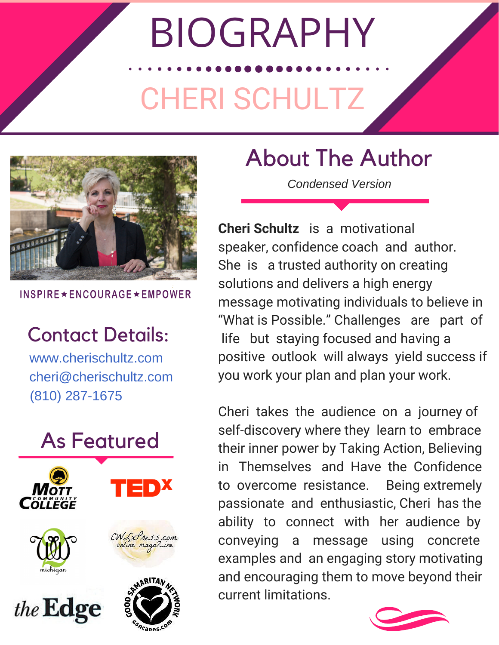# BIOGRAPHY

### CHERI SCHULTZ



**INSPIRE ★ ENCOURAGE ★ EMPOWER** 

#### Contact Details:

www.cherischultz.com cheri@cherischultz.com (810) 287-1675



#### About The Author

*Condensed Version*

**Cheri Schultz** is a motivational speaker, confidence coach and author. She is a trusted authority on creating solutions and delivers a high energy message motivating individuals to believe in "What is Possible." Challenges are part of life but staying focused and having a positive outlook will always yield success if you work your plan and plan your work.

Cheri takes the audience on a journey of self-discovery where they learn to embrace their inner power by Taking Action, Believing in Themselves and Have the Confidence to overcome resistance. Being extremely passionate and enthusiastic, Cheri has the ability to connect with her audience by conveying a message using concrete examples and an engaging story motivating and encouraging them to move beyond their current limitations.